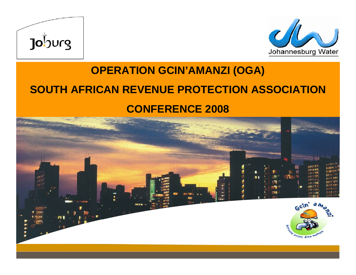



#### **OPERATION GCIN'AMANZI (OGA) SOUTH AFRICAN REVENUE PROTECTION ASSOCIATION CONFERENCE 2008**

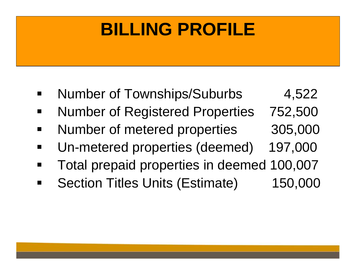### **BILLING PROFILE**

- Number of Townships/Suburbs 4,522
- Number of Registered Properties 752,500
- Number of metered properties 305,000
- Un-metered properties (deemed) 197,000
- Total prepaid properties in deemed 100,007
- Section Titles Units (Estimate) 150,000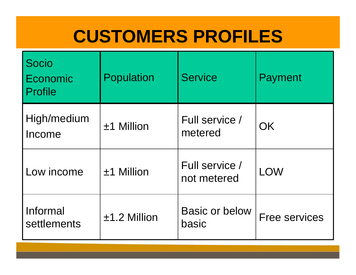### **CUSTOMERS PROFILES**

| Socio<br>Economic<br>Profile | Population     | <b>Service</b>                 | Payment              |
|------------------------------|----------------|--------------------------------|----------------------|
| High/medium<br>Income        | ±1 Million     | Full service /<br>metered      | OK                   |
| Low income                   | $±1$ Million   | Full service /<br>not metered  | <b>LOW</b>           |
| Informal<br>settlements      | $±1.2$ Million | <b>Basic or below</b><br>basic | <b>Free services</b> |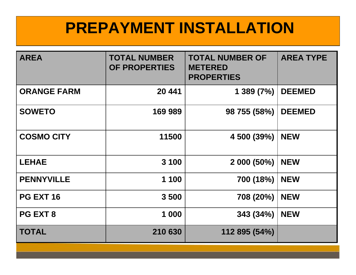#### **PREPAYMENT INSTALLATION**

| <b>AREA</b>        | <b>TOTAL NUMBER</b><br>OF PROPERTIES | <b>TOTAL NUMBER OF</b><br><b>METERED</b><br><b>PROPERTIES</b> | <b>AREA TYPE</b> |
|--------------------|--------------------------------------|---------------------------------------------------------------|------------------|
| <b>ORANGE FARM</b> | 20 441                               | 1389(7%)                                                      | <b>DEEMED</b>    |
| <b>SOWETO</b>      | 169 989                              | 98 755 (58%)                                                  | <b>DEEMED</b>    |
| <b>COSMO CITY</b>  | 11500                                | 4 500 (39%)                                                   | <b>NEW</b>       |
| <b>LEHAE</b>       | 3 100                                | 2 000 (50%)                                                   | <b>NEW</b>       |
| <b>PENNYVILLE</b>  | 1 100                                | 700 (18%)                                                     | <b>NEW</b>       |
| <b>PG EXT 16</b>   | 3500                                 | 708 (20%)                                                     | <b>NEW</b>       |
| PG EXT 8           | 1 000                                | 343 (34%)                                                     | <b>NEW</b>       |
| <b>TOTAL</b>       | 210 630                              | 112 895 (54%)                                                 |                  |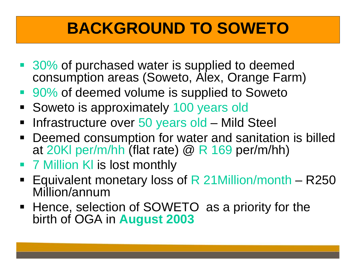#### **BACKGROUND TO SOWETO**

- 30% of purchased water is supplied to deemed consumption areas (Soweto, Alex, Orange Farm)
- 90% of deemed volume is supplied to Soweto
- **Soweto is approximately 100 years old**
- **Infrastructure over 50 years old Mild Steel**
- Deemed consumption for water and sanitation is billed at 20Kl per/m/hh (flat rate) @ R 169 per/m/hh)
- **7 Million KI is lost monthly**
- Equivalent monetary loss of R 21Million/month R250 Million/annum
- Hence, selection of SOWETO as a priority for the birth of OGA in **August 2003**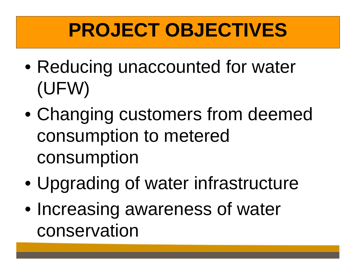## **PROJECT OBJECTIVES**

- $\bullet$  Reducing unaccounted for water (UFW)
- $\bullet$  Changing customers from deemed consumption to metered consumption
- $\bullet$ Upgrading of water infrastructure
- $\bullet$  Increasing awareness of water conservation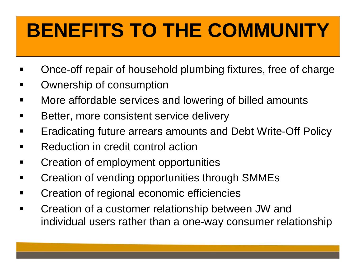# **BENEFITS TO THE COMMUNITY**

- ٠ Once-off repair of household plumbing fixtures, free of charge
- ٠ Ownership of consumption
- ٠ More affordable services and lowering of billed amounts
- $\blacksquare$ Better, more consistent service delivery
- $\blacksquare$ Eradicating future arrears amounts and Debt Write-Off Policy
- Reduction in credit control action
- Creation of employment opportunities
- Creation of vending opportunities through SMMEs
- Creation of regional economic efficiencies
- Creation of a customer relationship between JW and individual users rather than a one-way consumer relationship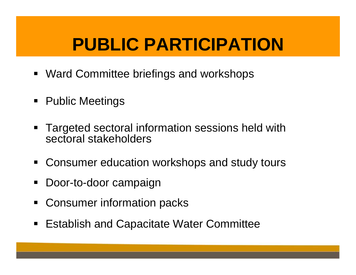### **PUBLIC PARTICIPATION**

- Ward Committee briefings and workshops
- Public Meetings
- ٠ Targeted sectoral information sessions held with sectoral stakeholders
- **Consumer education workshops and study tours**
- Door-to-door campaign
- Consumer information packs
- **Establish and Capacitate Water Committee**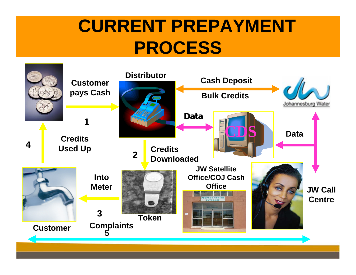### **CURRENT PREPAYMENT PROCESS**

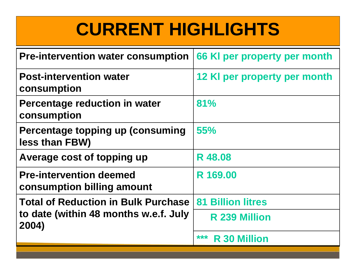### **CURRENT HIGHLIGHTS**

| <b>Pre-intervention water consumption</b>                    | 66 KI per property per month |
|--------------------------------------------------------------|------------------------------|
| <b>Post-intervention water</b><br>consumption                | 12 KI per property per month |
| <b>Percentage reduction in water</b><br>consumption          | 81%                          |
| Percentage topping up (consuming<br>less than FBW)           | 55%                          |
| Average cost of topping up                                   | <b>R</b> 48.08               |
| <b>Pre-intervention deemed</b><br>consumption billing amount | R 169.00                     |
| <b>Total of Reduction in Bulk Purchase</b>                   | <b>81 Billion litres</b>     |
| to date (within 48 months w.e.f. July<br>2004)               | <b>R</b> 239 Million         |
|                                                              | ***<br><b>R</b> 30 Million   |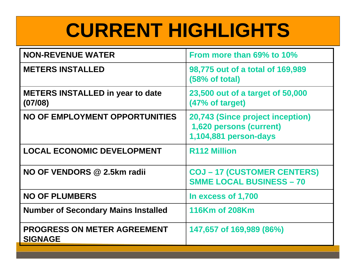## **CURRENT HIGHLIGHTS**

| <b>NON-REVENUE WATER</b>                             | From more than 69% to 10%                                                            |
|------------------------------------------------------|--------------------------------------------------------------------------------------|
| <b>METERS INSTALLED</b>                              | 98,775 out of a total of 169,989<br>(58% of total)                                   |
| <b>METERS INSTALLED in year to date</b><br>(07/08)   | 23,500 out of a target of 50,000<br>(47% of target)                                  |
| NO OF EMPLOYMENT OPPORTUNITIES                       | 20,743 (Since project inception)<br>1,620 persons (current)<br>1,104,881 person-days |
| <b>LOCAL ECONOMIC DEVELOPMENT</b>                    | <b>R112 Million</b>                                                                  |
| NO OF VENDORS @ 2.5km radii                          | <b>COJ-17 (CUSTOMER CENTERS)</b><br><b>SMME LOCAL BUSINESS - 70</b>                  |
| <b>NO OF PLUMBERS</b>                                | In excess of 1,700                                                                   |
| <b>Number of Secondary Mains Installed</b>           | 116Km of 208Km                                                                       |
| <b>PROGRESS ON METER AGREEMENT</b><br><b>SIGNAGE</b> | 147,657 of 169,989 (86%)                                                             |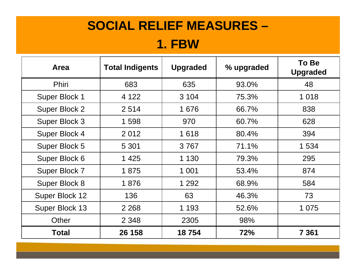#### **SOCIAL RELIEF MEASURES – 1. FBW**

| <b>Area</b>          | <b>Total Indigents</b> | <b>Upgraded</b> | % upgraded | To Be<br><b>Upgraded</b> |
|----------------------|------------------------|-----------------|------------|--------------------------|
| <b>Phiri</b>         | 683                    | 635             | 93.0%      | 48                       |
| Super Block 1        | 4 1 2 2                | 3 1 0 4         | 75.3%      | 1 0 1 8                  |
| <b>Super Block 2</b> | 2514                   | 1676            | 66.7%      | 838                      |
| Super Block 3        | 1 598                  | 970             | 60.7%      | 628                      |
| <b>Super Block 4</b> | 2012                   | 1618            | 80.4%      | 394                      |
| Super Block 5        | 5 3 0 1                | 3767            | 71.1%      | 1 534                    |
| Super Block 6        | 1 4 2 5                | 1 1 3 0         | 79.3%      | 295                      |
| Super Block 7        | 1875                   | 1 0 0 1         | 53.4%      | 874                      |
| Super Block 8        | 1876                   | 1 2 9 2         | 68.9%      | 584                      |
| Super Block 12       | 136                    | 63              | 46.3%      | 73                       |
| Super Block 13       | 2 2 6 8                | 1 1 9 3         | 52.6%      | 1 0 7 5                  |
| Other                | 2 3 4 8                | 2305            | 98%        |                          |
| <b>Total</b>         | 26 158                 | 18754           | 72%        | 7 361                    |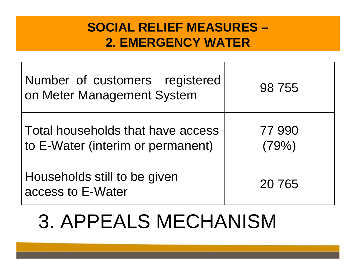#### **SOCIAL RELIEF MEASURES –2. EMERGENCY WATER**

| Number of customers registered<br>on Meter Management System           | 98 755          |
|------------------------------------------------------------------------|-----------------|
| Total households that have access<br>to E-Water (interim or permanent) | 77 990<br>(79%) |
| Households still to be given<br>access to E-Water                      | 20 7 65         |

## 3. APPEALS MECHANISM